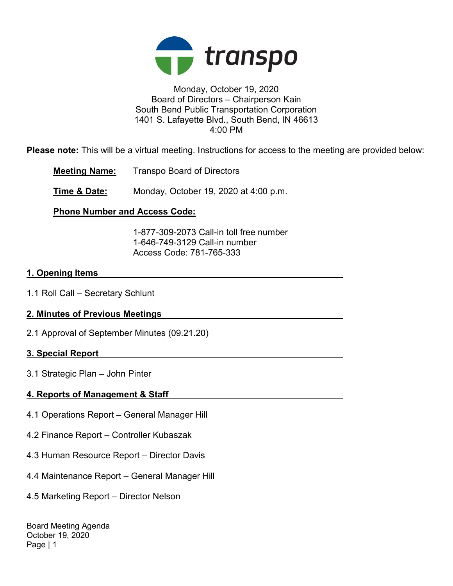

## Monday, October 19, 2020 Board of Directors – Chairperson Kain South Bend Public Transportation Corporation 1401 S. Lafayette Blvd., South Bend, IN 46613 4:00 PM

Please note: This will be a virtual meeting. Instructions for access to the meeting are provided below:

Meeting Name: Transpo Board of Directors

**Time & Date:** Monday, October 19, 2020 at 4:00 p.m.

# Phone Number and Access Code:

 1-877-309-2073 Call-in toll free number 1-646-749-3129 Call-in number Access Code: 781-765-333

## 1. Opening Items

1.1 Roll Call – Secretary Schlunt

# 2. Minutes of Previous Meetings

2.1 Approval of September Minutes (09.21.20)

# 3. Special Report

3.1 Strategic Plan – John Pinter

# 4. Reports of Management & Staff

- 4.1 Operations Report General Manager Hill
- 4.2 Finance Report Controller Kubaszak
- 4.3 Human Resource Report Director Davis
- 4.4 Maintenance Report General Manager Hill
- 4.5 Marketing Report Director Nelson

Board Meeting Agenda October 19, 2020 Page | 1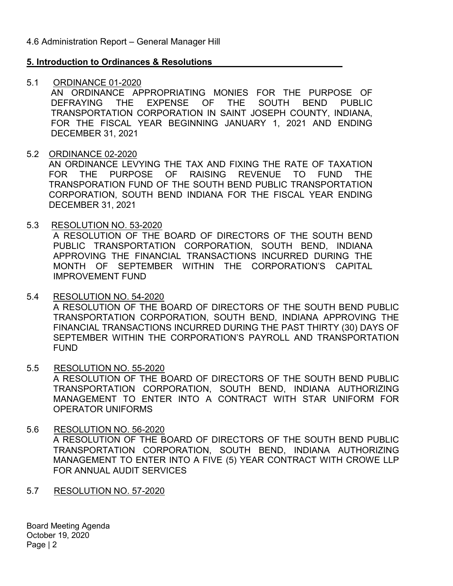## 5. Introduction to Ordinances & Resolutions

## 5.1 ORDINANCE 01-2020

AN ORDINANCE APPROPRIATING MONIES FOR THE PURPOSE OF DEFRAYING THE EXPENSE OF THE SOUTH BEND PUBLIC TRANSPORTATION CORPORATION IN SAINT JOSEPH COUNTY, INDIANA, FOR THE FISCAL YEAR BEGINNING JANUARY 1, 2021 AND ENDING DECEMBER 31, 2021

## 5.2 ORDINANCE 02-2020

AN ORDINANCE LEVYING THE TAX AND FIXING THE RATE OF TAXATION FOR THE PURPOSE OF RAISING REVENUE TO FUND THE TRANSPORATION FUND OF THE SOUTH BEND PUBLIC TRANSPORTATION CORPORATION, SOUTH BEND INDIANA FOR THE FISCAL YEAR ENDING DECEMBER 31, 2021

## 5.3 RESOLUTION NO. 53-2020

A RESOLUTION OF THE BOARD OF DIRECTORS OF THE SOUTH BEND PUBLIC TRANSPORTATION CORPORATION, SOUTH BEND, INDIANA APPROVING THE FINANCIAL TRANSACTIONS INCURRED DURING THE MONTH OF SEPTEMBER WITHIN THE CORPORATION'S CAPITAL IMPROVEMENT FUND

- 5.4 RESOLUTION NO. 54-2020 A RESOLUTION OF THE BOARD OF DIRECTORS OF THE SOUTH BEND PUBLIC TRANSPORTATION CORPORATION, SOUTH BEND, INDIANA APPROVING THE FINANCIAL TRANSACTIONS INCURRED DURING THE PAST THIRTY (30) DAYS OF SEPTEMBER WITHIN THE CORPORATION'S PAYROLL AND TRANSPORTATION FUND
- 5.5 RESOLUTION NO. 55-2020 A RESOLUTION OF THE BOARD OF DIRECTORS OF THE SOUTH BEND PUBLIC TRANSPORTATION CORPORATION, SOUTH BEND, INDIANA AUTHORIZING MANAGEMENT TO ENTER INTO A CONTRACT WITH STAR UNIFORM FOR OPERATOR UNIFORMS
- 5.6 RESOLUTION NO. 56-2020 A RESOLUTION OF THE BOARD OF DIRECTORS OF THE SOUTH BEND PUBLIC TRANSPORTATION CORPORATION, SOUTH BEND, INDIANA AUTHORIZING MANAGEMENT TO ENTER INTO A FIVE (5) YEAR CONTRACT WITH CROWE LLP FOR ANNUAL AUDIT SERVICES
- 5.7 RESOLUTION NO. 57-2020

Board Meeting Agenda October 19, 2020 Page | 2